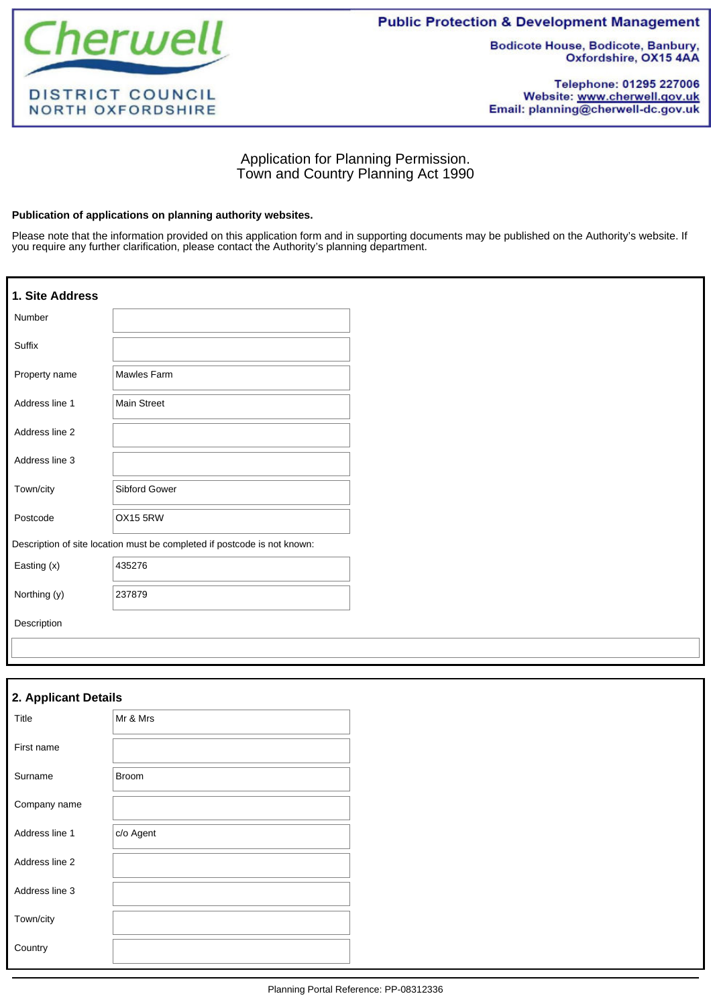

**Public Protection & Development Management** 

**Bodicote House, Bodicote, Banbury,** Oxfordshire, OX15 4AA

Telephone: 01295 227006 Website: www.cherwell.gov.uk Email: planning@cherwell-dc.gov.uk

# Application for Planning Permission. Town and Country Planning Act 1990

## **Publication of applications on planning authority websites.**

Please note that the information provided on this application form and in supporting documents may be published on the Authority's website. If you require any further clarification, please contact the Authority's planning department.

| 1. Site Address |                                                                          |
|-----------------|--------------------------------------------------------------------------|
| Number          |                                                                          |
| Suffix          |                                                                          |
| Property name   | Mawles Farm                                                              |
| Address line 1  | <b>Main Street</b>                                                       |
| Address line 2  |                                                                          |
| Address line 3  |                                                                          |
| Town/city       | Sibford Gower                                                            |
| Postcode        | <b>OX15 5RW</b>                                                          |
|                 | Description of site location must be completed if postcode is not known: |
| Easting (x)     | 435276                                                                   |
| Northing (y)    | 237879                                                                   |
| Description     |                                                                          |
|                 |                                                                          |

| 2. Applicant Details |              |  |  |
|----------------------|--------------|--|--|
| Title                | Mr & Mrs     |  |  |
| First name           |              |  |  |
| Surname              | <b>Broom</b> |  |  |
| Company name         |              |  |  |
| Address line 1       | c/o Agent    |  |  |
| Address line 2       |              |  |  |
| Address line 3       |              |  |  |
| Town/city            |              |  |  |
| Country              |              |  |  |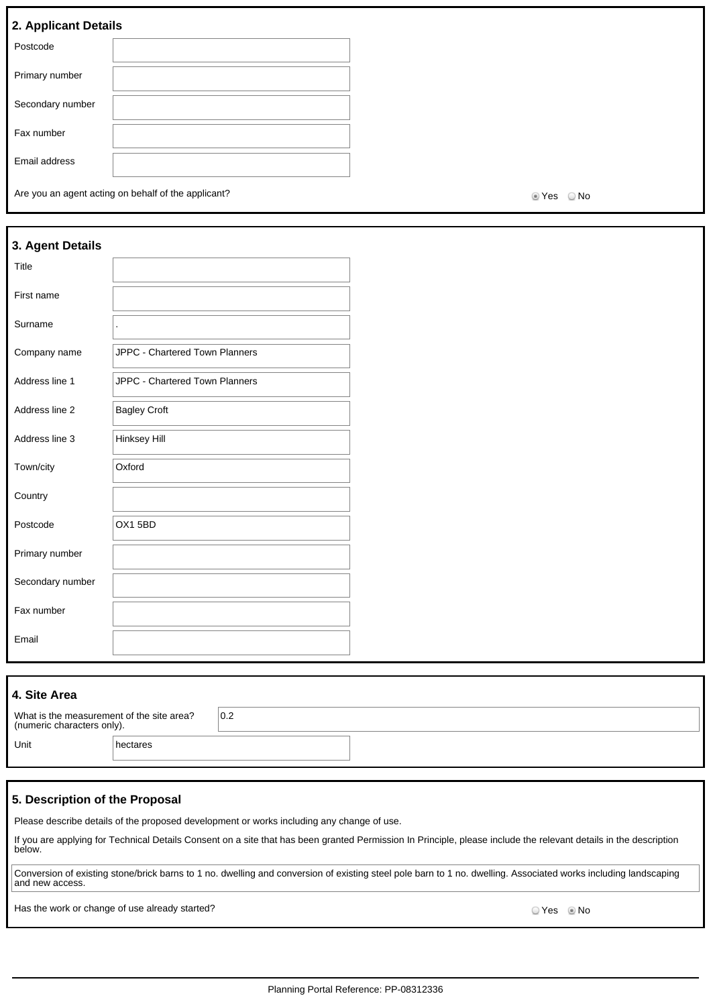# **2. Applicant Details**

| . .              |  |
|------------------|--|
| Postcode         |  |
| Primary number   |  |
| Secondary number |  |
| Fax number       |  |
| Email address    |  |

Are you an agent acting on behalf of the applicant? Are you are set of the SNo Mo

| 3. Agent Details |                                |
|------------------|--------------------------------|
| Title            |                                |
| First name       |                                |
| Surname          |                                |
| Company name     | JPPC - Chartered Town Planners |
| Address line 1   | JPPC - Chartered Town Planners |
| Address line 2   | <b>Bagley Croft</b>            |
| Address line 3   | Hinksey Hill                   |
| Town/city        | Oxford                         |
| Country          |                                |
| Postcode         | OX15BD                         |
| Primary number   |                                |
| Secondary number |                                |
| Fax number       |                                |
| Email            |                                |
|                  |                                |

| 4. Site Area                                                            |          |     |  |
|-------------------------------------------------------------------------|----------|-----|--|
| What is the measurement of the site area?<br>(numeric characters only). |          | 0.2 |  |
| Unit                                                                    | hectares |     |  |

## **5. Description of the Proposal**

Please describe details of the proposed development or works including any change of use.

If you are applying for Technical Details Consent on a site that has been granted Permission In Principle, please include the relevant details in the description below.

Conversion of existing stone/brick barns to 1 no. dwelling and conversion of existing steel pole barn to 1 no. dwelling. Associated works including landscaping and new access.

Has the work or change of use already started? No was also seen to the work of change of use already started?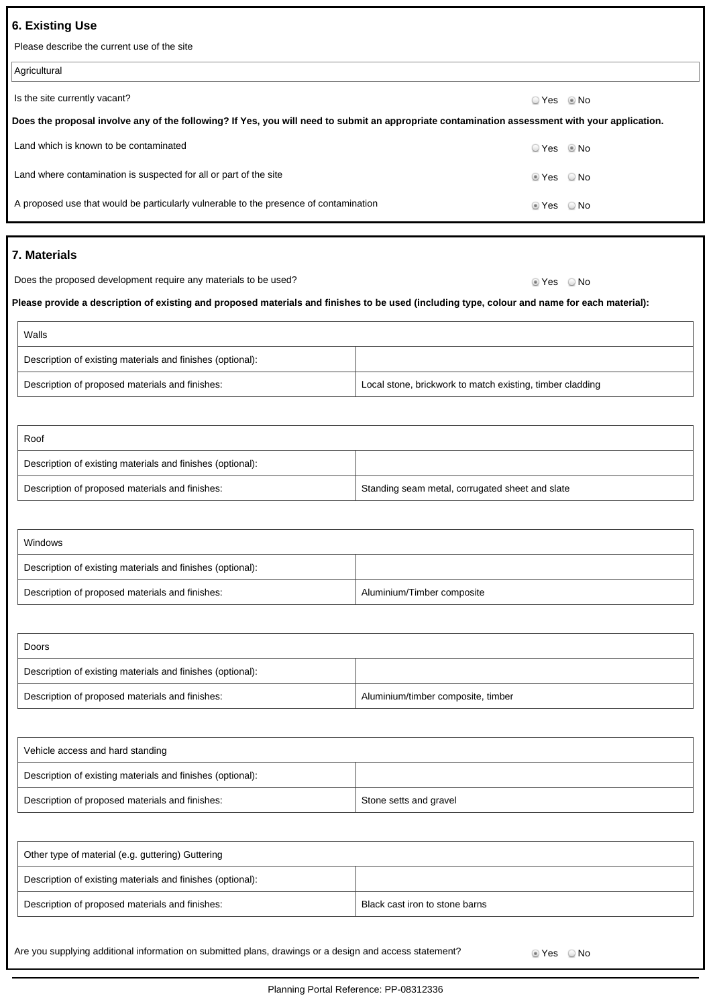# **6. Existing Use**

Please describe the current use of the site

| Agricultural                                                                                                                                   |             |  |
|------------------------------------------------------------------------------------------------------------------------------------------------|-------------|--|
| Is the site currently vacant?                                                                                                                  | ⊙ Yes © No  |  |
| Does the proposal involve any of the following? If Yes, you will need to submit an appropriate contamination assessment with your application. |             |  |
| Land which is known to be contaminated                                                                                                         | $OYes$ Mo   |  |
| Land where contamination is suspected for all or part of the site                                                                              | ◎ Yes  ◎ No |  |
| A proposed use that would be particularly vulnerable to the presence of contamination                                                          | ii Yes ONo  |  |
|                                                                                                                                                |             |  |

# **7. Materials**

Does the proposed development require any materials to be used? <br>
No Yes ONo

**Please provide a description of existing and proposed materials and finishes to be used (including type, colour and name for each material):**

| Walls                                                      |                                                           |
|------------------------------------------------------------|-----------------------------------------------------------|
| Description of existing materials and finishes (optional): |                                                           |
| Description of proposed materials and finishes:            | Local stone, brickwork to match existing, timber cladding |

| Roof                                                       |                                                 |  |
|------------------------------------------------------------|-------------------------------------------------|--|
| Description of existing materials and finishes (optional): |                                                 |  |
| Description of proposed materials and finishes:            | Standing seam metal, corrugated sheet and slate |  |

| Windows                                                    |                            |
|------------------------------------------------------------|----------------------------|
| Description of existing materials and finishes (optional): |                            |
| Description of proposed materials and finishes:            | Aluminium/Timber composite |

| Doors                                                      |                                    |
|------------------------------------------------------------|------------------------------------|
| Description of existing materials and finishes (optional): |                                    |
| Description of proposed materials and finishes:            | Aluminium/timber composite, timber |

| Vehicle access and hard standing                           |                        |
|------------------------------------------------------------|------------------------|
| Description of existing materials and finishes (optional): |                        |
| Description of proposed materials and finishes:            | Stone setts and gravel |

| Other type of material (e.g. guttering) Guttering          |                                |
|------------------------------------------------------------|--------------------------------|
| Description of existing materials and finishes (optional): |                                |
| Description of proposed materials and finishes:            | Black cast iron to stone barns |

Are you supplying additional information on submitted plans, drawings or a design and access statement?  $\bullet$  Yes  $\bullet$  Yes  $\bullet$  No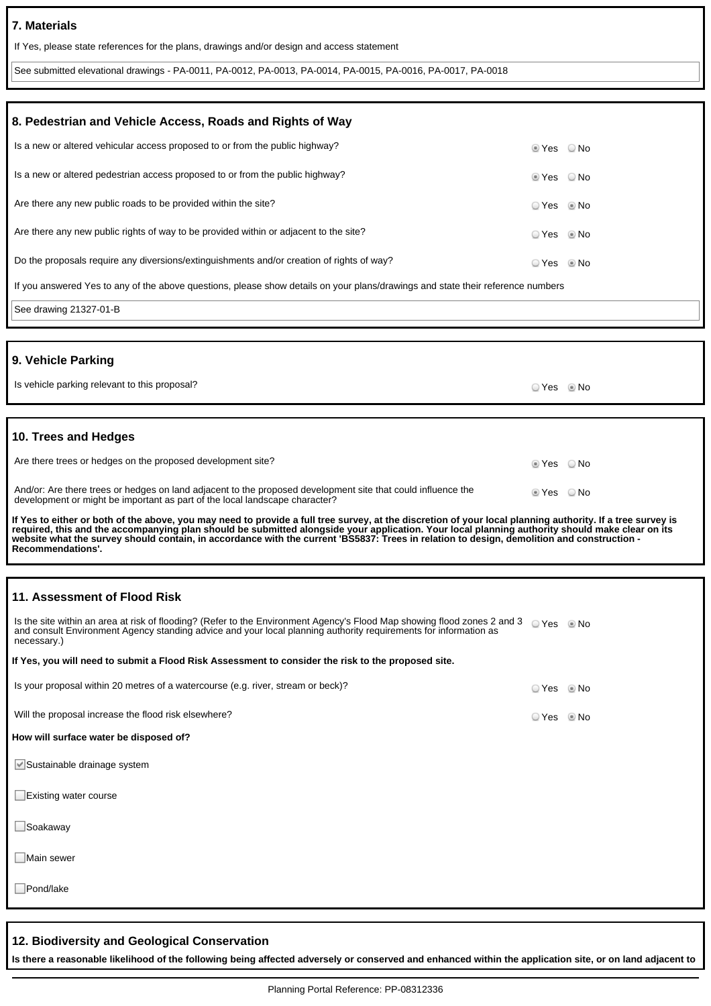## **7. Materials**

If Yes, please state references for the plans, drawings and/or design and access statement

See submitted elevational drawings - PA-0011, PA-0012, PA-0013, PA-0014, PA-0015, PA-0016, PA-0017, PA-0018

| 8. Pedestrian and Vehicle Access, Roads and Rights of Way                                                                                                                                                                                                                                                                                                                                                                                                                        |                        |      |
|----------------------------------------------------------------------------------------------------------------------------------------------------------------------------------------------------------------------------------------------------------------------------------------------------------------------------------------------------------------------------------------------------------------------------------------------------------------------------------|------------------------|------|
| Is a new or altered vehicular access proposed to or from the public highway?                                                                                                                                                                                                                                                                                                                                                                                                     | $\circ$ Yes $\circ$ No |      |
| Is a new or altered pedestrian access proposed to or from the public highway?                                                                                                                                                                                                                                                                                                                                                                                                    | $\circ$ Yes $\circ$ No |      |
| Are there any new public roads to be provided within the site?                                                                                                                                                                                                                                                                                                                                                                                                                   | ⊙ Yes © No             |      |
| Are there any new public rights of way to be provided within or adjacent to the site?                                                                                                                                                                                                                                                                                                                                                                                            | ⊙ Yes © No             |      |
| Do the proposals require any diversions/extinguishments and/or creation of rights of way?                                                                                                                                                                                                                                                                                                                                                                                        | ⊙ Yes © No             |      |
| If you answered Yes to any of the above questions, please show details on your plans/drawings and state their reference numbers                                                                                                                                                                                                                                                                                                                                                  |                        |      |
| See drawing 21327-01-B                                                                                                                                                                                                                                                                                                                                                                                                                                                           |                        |      |
|                                                                                                                                                                                                                                                                                                                                                                                                                                                                                  |                        |      |
| 9. Vehicle Parking                                                                                                                                                                                                                                                                                                                                                                                                                                                               |                        |      |
| Is vehicle parking relevant to this proposal?                                                                                                                                                                                                                                                                                                                                                                                                                                    | ○ Yes ◎ No             |      |
|                                                                                                                                                                                                                                                                                                                                                                                                                                                                                  |                        |      |
| 10. Trees and Hedges                                                                                                                                                                                                                                                                                                                                                                                                                                                             |                        |      |
| Are there trees or hedges on the proposed development site?                                                                                                                                                                                                                                                                                                                                                                                                                      | $\circ$ Yes $\circ$ No |      |
| And/or: Are there trees or hedges on land adjacent to the proposed development site that could influence the<br>development or might be important as part of the local landscape character?                                                                                                                                                                                                                                                                                      | $\circ$ Yes $\circ$ No |      |
| If Yes to either or both of the above, you may need to provide a full tree survey, at the discretion of your local planning authority. If a tree survey is<br>required, this and the accompanying plan should be submitted alongside your application. Your local planning authority should make clear on its<br>website what the survey should contain, in accordance with the current 'BS5837: Trees in relation to design, demolition and construction -<br>Recommendations'. |                        |      |
|                                                                                                                                                                                                                                                                                                                                                                                                                                                                                  |                        |      |
| 11. Assessment of Flood Risk                                                                                                                                                                                                                                                                                                                                                                                                                                                     |                        |      |
| Is the site within an area at risk of flooding? (Refer to the Environment Agency's Flood Map showing flood zones 2 and 3 Q Yes No<br>and consult Environment Agency standing advice and your local planning authority requirements for information as<br>necessary.)                                                                                                                                                                                                             |                        |      |
| If Yes, you will need to submit a Flood Risk Assessment to consider the risk to the proposed site.                                                                                                                                                                                                                                                                                                                                                                               |                        |      |
| Is your proposal within 20 metres of a watercourse (e.g. river, stream or beck)?                                                                                                                                                                                                                                                                                                                                                                                                 | ○ Yes                  | © No |
| Will the proposal increase the flood risk elsewhere?                                                                                                                                                                                                                                                                                                                                                                                                                             | ◯ Yes                  | © No |
| How will surface water be disposed of?                                                                                                                                                                                                                                                                                                                                                                                                                                           |                        |      |
| Sustainable drainage system                                                                                                                                                                                                                                                                                                                                                                                                                                                      |                        |      |
| □Existing water course                                                                                                                                                                                                                                                                                                                                                                                                                                                           |                        |      |
| □Soakaway                                                                                                                                                                                                                                                                                                                                                                                                                                                                        |                        |      |
| Main sewer                                                                                                                                                                                                                                                                                                                                                                                                                                                                       |                        |      |
| $\Box$ Pond/lake                                                                                                                                                                                                                                                                                                                                                                                                                                                                 |                        |      |
|                                                                                                                                                                                                                                                                                                                                                                                                                                                                                  |                        |      |
| 12. Biodiversity and Geological Conservation                                                                                                                                                                                                                                                                                                                                                                                                                                     |                        |      |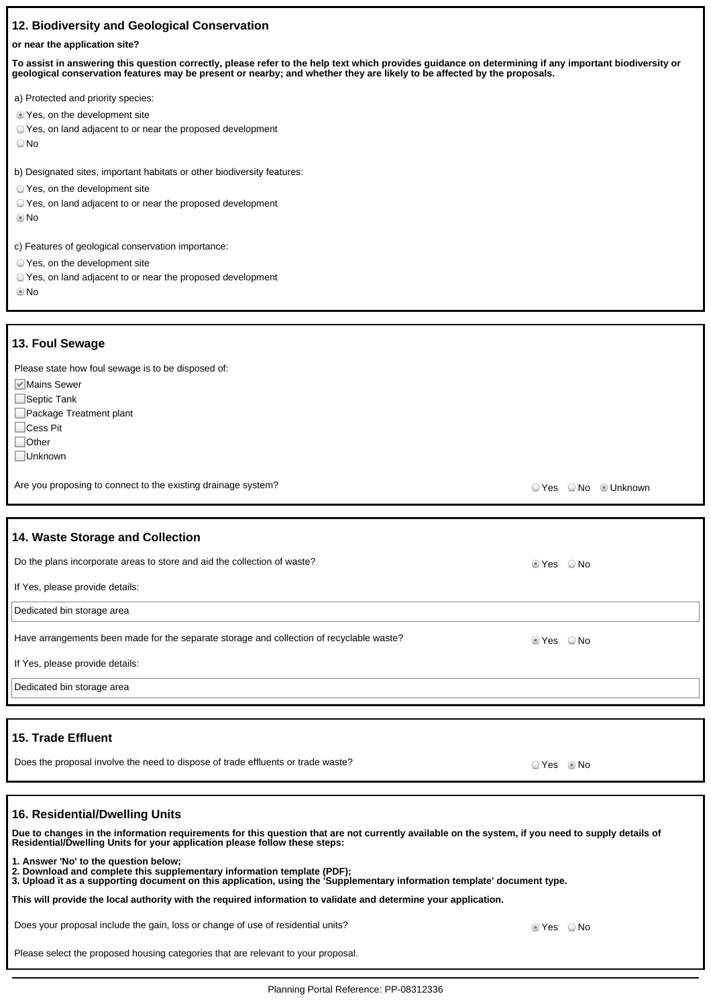## **12. Biodiversity and Geological Conservation**

#### **or near the application site?**

**To assist in answering this question correctly, please refer to the help text which provides guidance on determining if any important biodiversity or geological conservation features may be present or nearby; and whether they are likely to be affected by the proposals.**

|  |  | a) Protected and priority species: |  |  |  |
|--|--|------------------------------------|--|--|--|
|--|--|------------------------------------|--|--|--|

- Yes, on the development site
- Yes, on land adjacent to or near the proposed development
- No

b) Designated sites, important habitats or other biodiversity features:

- Yes, on the development site
- Yes, on land adjacent to or near the proposed development
- No
- c) Features of geological conservation importance:
- Yes, on the development site
- Yes, on land adjacent to or near the proposed development
- **®**No

#### **13. Foul Sewage**

Please state how foul sewage is to be disposed of:

- **Mains Sewer**
- □Septic Tank
- Package Treatment plant
- Cess Pit
- □Other
- Unknown

Are you proposing to connect to the existing drainage system?<br>
Are you proposing to connect to the existing drainage system?

# **14. Waste Storage and Collection** Do the plans incorporate areas to store and aid the collection of waste?  $\blacksquare$  Yes  $\blacksquare$  Yes  $\blacksquare$  No If Yes, please provide details: Dedicated bin storage area Have arrangements been made for the separate storage and collection of recyclable waste? <br>
In the state of the No If Yes, please provide details: Dedicated bin storage area

### **15. Trade Effluent**

Does the proposal involve the need to dispose of trade effluents or trade waste?<br>
O Yes © No

#### **16. Residential/Dwelling Units**

**Due to changes in the information requirements for this question that are not currently available on the system, if you need to supply details of Residential/Dwelling Units for your application please follow these steps: 1. Answer 'No' to the question below; 2. Download and complete this supplementary information template (PDF); 3. Upload it as a supporting document on this application, using the 'Supplementary information template' document type. This will provide the local authority with the required information to validate and determine your application.** Does your proposal include the gain, loss or change of use of residential units?  $\bullet$  Yes No

Please select the proposed housing categories that are relevant to your proposal.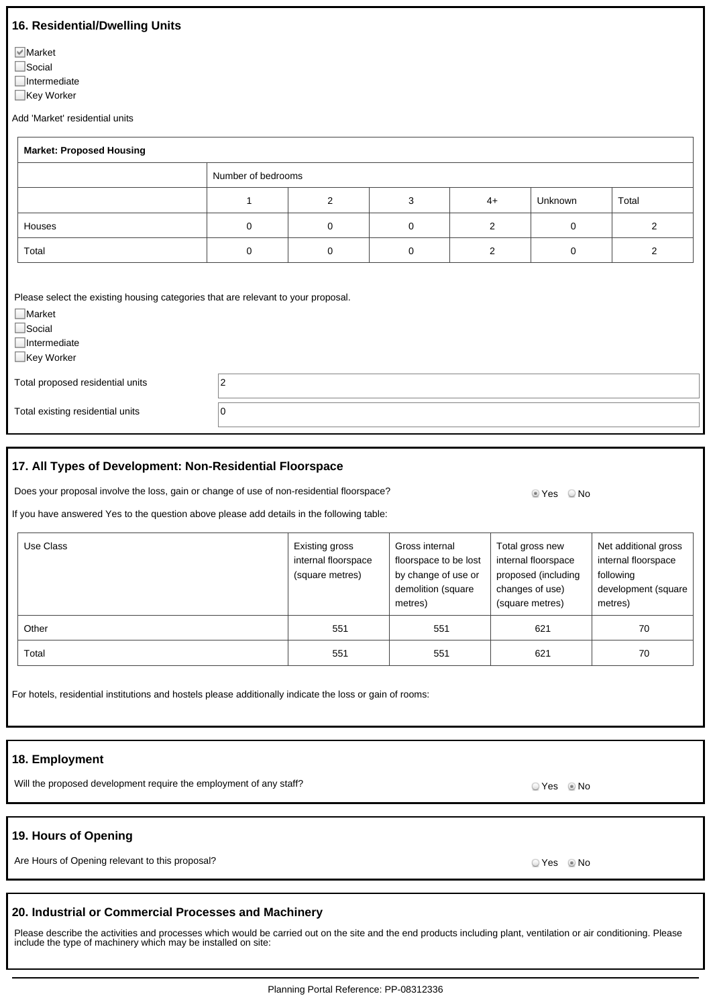## **16. Residential/Dwelling Units**

**Market** 

□Social

 $\Box$ Intermediate

■Key Worker

Add 'Market' residential units

| <b>Market: Proposed Housing</b>                                                                                                                           |                |                    |             |                |             |                |
|-----------------------------------------------------------------------------------------------------------------------------------------------------------|----------------|--------------------|-------------|----------------|-------------|----------------|
|                                                                                                                                                           |                | Number of bedrooms |             |                |             |                |
|                                                                                                                                                           |                | 2                  | 3           | $4+$           | Unknown     | Total          |
| Houses                                                                                                                                                    | 0              | $\mathbf 0$        | 0           | 2              | $\mathbf 0$ | $\overline{2}$ |
| Total                                                                                                                                                     | $\mathbf 0$    | $\mathbf 0$        | $\mathbf 0$ | $\overline{c}$ | $\mathbf 0$ | $\overline{2}$ |
| Please select the existing housing categories that are relevant to your proposal.<br>$\Box$ Market<br>$\Box$ Social<br>$\Box$ Intermediate<br>□Key Worker |                |                    |             |                |             |                |
| Total proposed residential units                                                                                                                          | $\overline{2}$ |                    |             |                |             |                |
| Total existing residential units                                                                                                                          | 0              |                    |             |                |             |                |

## **17. All Types of Development: Non-Residential Floorspace**

Does your proposal involve the loss, gain or change of use of non-residential floorspace? <br>
No

If you have answered Yes to the question above please add details in the following table:

| Use Class | Existing gross<br>internal floorspace<br>(square metres) | Gross internal<br>floorspace to be lost<br>by change of use or<br>demolition (square<br>metres) | Total gross new<br>internal floorspace<br>proposed (including<br>changes of use)<br>(square metres) | Net additional gross<br>internal floorspace<br>following<br>development (square<br>metres) |
|-----------|----------------------------------------------------------|-------------------------------------------------------------------------------------------------|-----------------------------------------------------------------------------------------------------|--------------------------------------------------------------------------------------------|
| Other     | 551                                                      | 551                                                                                             | 621                                                                                                 | 70                                                                                         |
| Total     | 551                                                      | 551                                                                                             | 621                                                                                                 | 70                                                                                         |

|  | For hotels, residential institutions and hostels please additionally indicate the loss or gain of rooms: |  |  |  |
|--|----------------------------------------------------------------------------------------------------------|--|--|--|
|  |                                                                                                          |  |  |  |
|  |                                                                                                          |  |  |  |

# **18. Employment**

Will the proposed development require the employment of any staff? Will the proposed of any staff?

# **19. Hours of Opening**

Are Hours of Opening relevant to this proposal? Are No will be a state of the No will be a No will be a No will be a No will be a No will be a No will be a No will be a No will be a No will be a No will be a No will be a N

# **20. Industrial or Commercial Processes and Machinery**

Please describe the activities and processes which would be carried out on the site and the end products including plant, ventilation or air conditioning. Please include the type of machinery which may be installed on site: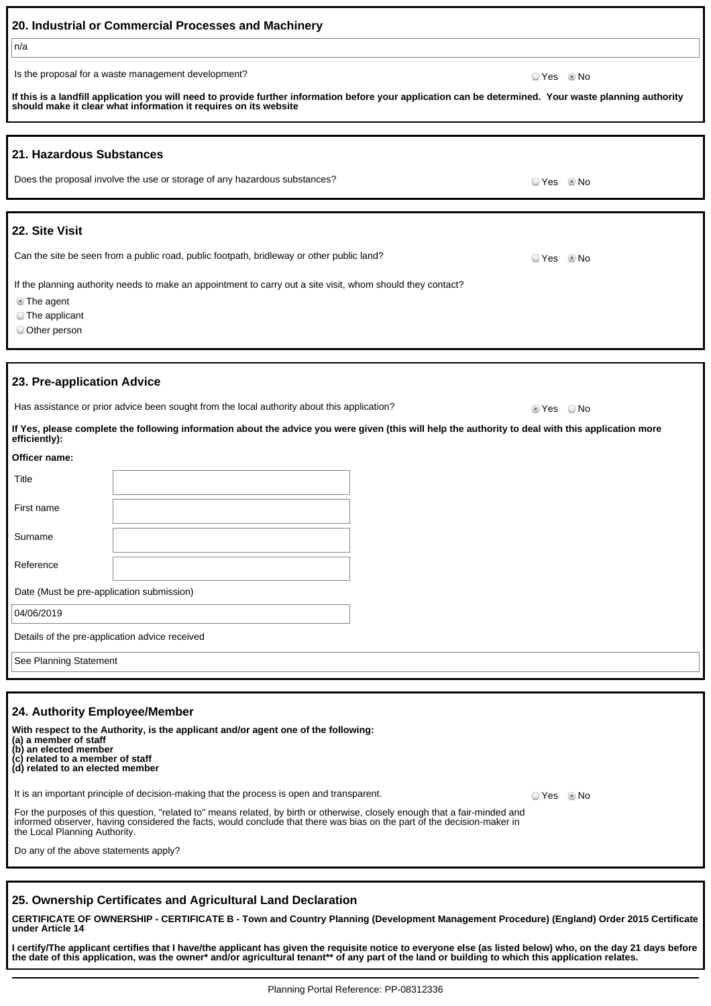|                                                                                                                                                                     | 20. Industrial or Commercial Processes and Machinery                                                                                                                                                                        |            |      |  |  |
|---------------------------------------------------------------------------------------------------------------------------------------------------------------------|-----------------------------------------------------------------------------------------------------------------------------------------------------------------------------------------------------------------------------|------------|------|--|--|
| n/a                                                                                                                                                                 |                                                                                                                                                                                                                             |            |      |  |  |
|                                                                                                                                                                     | Is the proposal for a waste management development?                                                                                                                                                                         | ⊙ Yes © No |      |  |  |
|                                                                                                                                                                     | If this is a landfill application you will need to provide further information before your application can be determined. Your waste planning authority<br>should make it clear what information it requires on its website |            |      |  |  |
|                                                                                                                                                                     |                                                                                                                                                                                                                             |            |      |  |  |
| 21. Hazardous Substances                                                                                                                                            |                                                                                                                                                                                                                             |            |      |  |  |
|                                                                                                                                                                     | Does the proposal involve the use or storage of any hazardous substances?                                                                                                                                                   | ☉ Yes      | © No |  |  |
|                                                                                                                                                                     |                                                                                                                                                                                                                             |            |      |  |  |
| 22. Site Visit                                                                                                                                                      |                                                                                                                                                                                                                             |            |      |  |  |
|                                                                                                                                                                     | Can the site be seen from a public road, public footpath, bridleway or other public land?                                                                                                                                   | ○ Yes ◎ No |      |  |  |
| If the planning authority needs to make an appointment to carry out a site visit, whom should they contact?<br><b>The agent</b><br>The applicant<br>O Other person  |                                                                                                                                                                                                                             |            |      |  |  |
|                                                                                                                                                                     |                                                                                                                                                                                                                             |            |      |  |  |
| 23. Pre-application Advice                                                                                                                                          |                                                                                                                                                                                                                             |            |      |  |  |
|                                                                                                                                                                     | Has assistance or prior advice been sought from the local authority about this application?                                                                                                                                 | ■ Yes ■ No |      |  |  |
| If Yes, please complete the following information about the advice you were given (this will help the authority to deal with this application more<br>efficiently): |                                                                                                                                                                                                                             |            |      |  |  |
| Officer name:                                                                                                                                                       |                                                                                                                                                                                                                             |            |      |  |  |
| Title                                                                                                                                                               |                                                                                                                                                                                                                             |            |      |  |  |
| First name                                                                                                                                                          |                                                                                                                                                                                                                             |            |      |  |  |
| Surname                                                                                                                                                             |                                                                                                                                                                                                                             |            |      |  |  |
| Reference                                                                                                                                                           |                                                                                                                                                                                                                             |            |      |  |  |
| Date (Must be pre-application submission)                                                                                                                           |                                                                                                                                                                                                                             |            |      |  |  |
| 04/06/2019                                                                                                                                                          |                                                                                                                                                                                                                             |            |      |  |  |
| Details of the pre-application advice received                                                                                                                      |                                                                                                                                                                                                                             |            |      |  |  |
| See Planning Statement                                                                                                                                              |                                                                                                                                                                                                                             |            |      |  |  |
|                                                                                                                                                                     |                                                                                                                                                                                                                             |            |      |  |  |

## **24. Authority Employee/Member**

**With respect to the Authority, is the applicant and/or agent one of the following: (a) a member of staff (b) an elected member (c) related to a member of staff (d) related to an elected member** It is an important principle of decision-making that the process is open and transparent. For the purposes of this question, "related to" means related, by birth or otherwise, closely enough that a fair-minded and informed observer, having considered the facts, would conclude that there was bias on the part of the decision-maker in the Local Planning Authority. O Yes O No

Do any of the above statements apply?

# **25. Ownership Certificates and Agricultural Land Declaration**

**CERTIFICATE OF OWNERSHIP - CERTIFICATE B - Town and Country Planning (Development Management Procedure) (England) Order 2015 Certificate under Article 14**

**I certify/The applicant certifies that I have/the applicant has given the requisite notice to everyone else (as listed below) who, on the day 21 days before the date of this application, was the owner\* and/or agricultural tenant\*\* of any part of the land or building to which this application relates.**